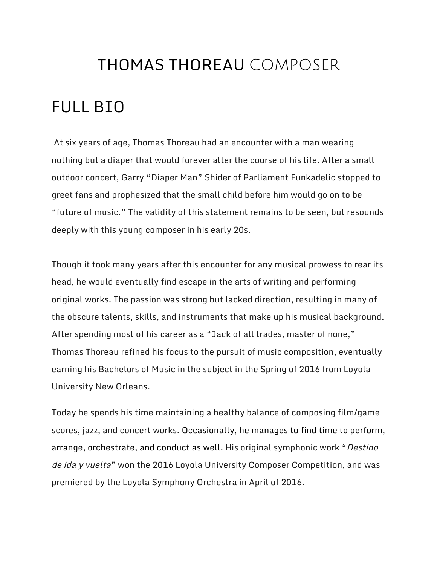#### THOMAS THOREAU COMPOSER

#### FULL BIO

At six years of age, Thomas Thoreau had an encounter with a man wearing nothing but a diaper that would forever alter the course of his life. After a small outdoor concert, Garry "Diaper Man" Shider of Parliament Funkadelic stopped to greet fans and prophesized that the small child before him would go on to be "future of music." The validity of this statement remains to be seen, but resounds deeply with this young composer in his early 20s.

Though it took many years after this encounter for any musical prowess to rear its head, he would eventually find escape in the arts of writing and performing original works. The passion was strong but lacked direction, resulting in many of the obscure talents, skills, and instruments that make up his musical background. After spending most of his career as a "Jack of all trades, master of none," Thomas Thoreau refined his focus to the pursuit of music composition, eventually earning his Bachelors of Music in the subject in the Spring of 2016 from Loyola University New Orleans.

Today he spends his time maintaining a healthy balance of composing film/game scores, jazz, and concert works. Occasionally, he manages to find time to perform, arrange, orchestrate, and conduct as well. His original symphonic work "Destino de ida y vuelta" won the 2016 Loyola University Composer Competition, and was premiered by the Loyola Symphony Orchestra in April of 2016.